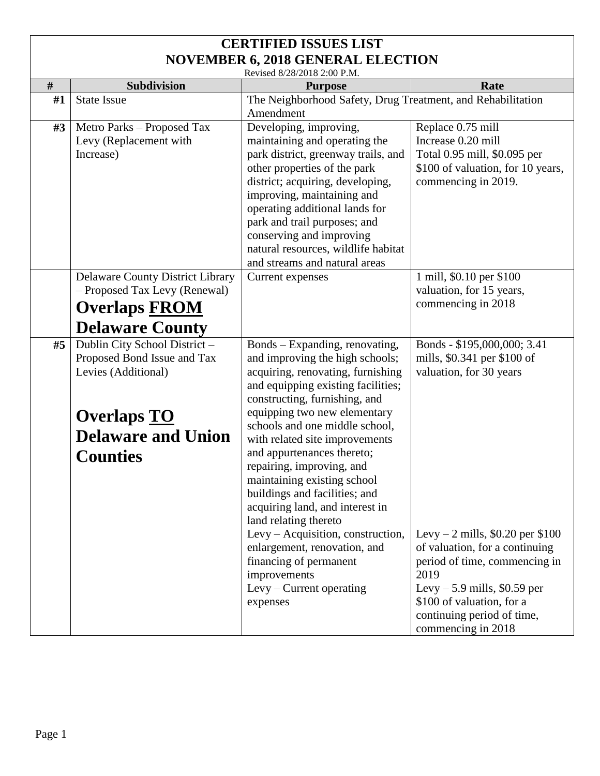Revised 8/28/2018 2:00 P.M.

|      | Revised 8/28/2018 2:00 P.M.             |                                                                |                                    |  |
|------|-----------------------------------------|----------------------------------------------------------------|------------------------------------|--|
| $\#$ | Subdivision                             | <b>Purpose</b>                                                 | Rate                               |  |
| #1   | <b>State Issue</b>                      | The Neighborhood Safety, Drug Treatment, and Rehabilitation    |                                    |  |
|      |                                         | Amendment                                                      |                                    |  |
| #3   | Metro Parks – Proposed Tax              | Developing, improving,                                         | Replace 0.75 mill                  |  |
|      | Levy (Replacement with                  | maintaining and operating the                                  | Increase 0.20 mill                 |  |
|      | Increase)                               | park district, greenway trails, and                            | Total 0.95 mill, \$0.095 per       |  |
|      |                                         | other properties of the park                                   | \$100 of valuation, for 10 years,  |  |
|      |                                         | district; acquiring, developing,                               | commencing in 2019.                |  |
|      |                                         | improving, maintaining and                                     |                                    |  |
|      |                                         | operating additional lands for<br>park and trail purposes; and |                                    |  |
|      |                                         | conserving and improving                                       |                                    |  |
|      |                                         | natural resources, wildlife habitat                            |                                    |  |
|      |                                         | and streams and natural areas                                  |                                    |  |
|      | <b>Delaware County District Library</b> | Current expenses                                               | 1 mill, \$0.10 per \$100           |  |
|      | - Proposed Tax Levy (Renewal)           |                                                                | valuation, for 15 years,           |  |
|      | <b>Overlaps FROM</b>                    |                                                                | commencing in 2018                 |  |
|      |                                         |                                                                |                                    |  |
|      | <b>Delaware County</b>                  |                                                                |                                    |  |
| #5   | Dublin City School District-            | Bonds – Expanding, renovating,                                 | Bonds - \$195,000,000; 3.41        |  |
|      | Proposed Bond Issue and Tax             | and improving the high schools;                                | mills, \$0.341 per \$100 of        |  |
|      | Levies (Additional)                     | acquiring, renovating, furnishing                              | valuation, for 30 years            |  |
|      |                                         | and equipping existing facilities;                             |                                    |  |
|      |                                         | constructing, furnishing, and                                  |                                    |  |
|      | <b>Overlaps TO</b>                      | equipping two new elementary<br>schools and one middle school, |                                    |  |
|      | <b>Delaware and Union</b>               | with related site improvements                                 |                                    |  |
|      |                                         | and appurtenances thereto;                                     |                                    |  |
|      | <b>Counties</b>                         | repairing, improving, and                                      |                                    |  |
|      |                                         | maintaining existing school                                    |                                    |  |
|      |                                         | buildings and facilities; and                                  |                                    |  |
|      |                                         | acquiring land, and interest in                                |                                    |  |
|      |                                         | land relating thereto                                          |                                    |  |
|      |                                         | Levy - Acquisition, construction,                              | Levy – 2 mills, $$0.20$ per $$100$ |  |
|      |                                         | enlargement, renovation, and                                   | of valuation, for a continuing     |  |
|      |                                         | financing of permanent                                         | period of time, commencing in      |  |
|      |                                         | improvements                                                   | 2019                               |  |
|      |                                         | Levy – Current operating                                       | Levy $-5.9$ mills, \$0.59 per      |  |
|      |                                         | expenses                                                       | \$100 of valuation, for a          |  |
|      |                                         |                                                                | continuing period of time,         |  |
|      |                                         |                                                                | commencing in 2018                 |  |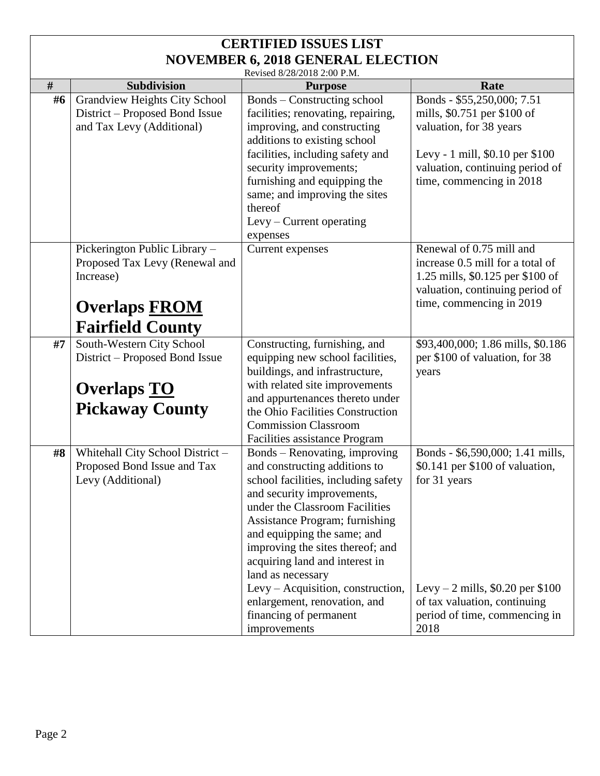#### **CERTIFIED ISSUES LIST NOVEMBER 6, 2018 GENERAL ELECTION**  Revised 8/28/2018 2:00 P.M.

|    | $NCVISUQ 0/20/2010 2.001$ .    |                                    |                                   |  |  |
|----|--------------------------------|------------------------------------|-----------------------------------|--|--|
| #  | <b>Subdivision</b>             | <b>Purpose</b>                     | Rate                              |  |  |
| #6 | Grandview Heights City School  | <b>Bonds</b> – Constructing school | Bonds - \$55,250,000; 7.51        |  |  |
|    | District – Proposed Bond Issue | facilities; renovating, repairing, | mills, \$0.751 per \$100 of       |  |  |
|    | and Tax Levy (Additional)      | improving, and constructing        | valuation, for 38 years           |  |  |
|    |                                | additions to existing school       |                                   |  |  |
|    |                                | facilities, including safety and   | Levy - 1 mill, \$0.10 per \$100   |  |  |
|    |                                | security improvements;             | valuation, continuing period of   |  |  |
|    |                                | furnishing and equipping the       | time, commencing in 2018          |  |  |
|    |                                | same; and improving the sites      |                                   |  |  |
|    |                                | thereof                            |                                   |  |  |
|    |                                | $L$ evy – Current operating        |                                   |  |  |
|    |                                | expenses                           |                                   |  |  |
|    | Pickerington Public Library -  | Current expenses                   | Renewal of 0.75 mill and          |  |  |
|    | Proposed Tax Levy (Renewal and |                                    | increase 0.5 mill for a total of  |  |  |
|    | Increase)                      |                                    | 1.25 mills, \$0.125 per \$100 of  |  |  |
|    |                                |                                    | valuation, continuing period of   |  |  |
|    | <b>Overlaps FROM</b>           |                                    | time, commencing in 2019          |  |  |
|    | <b>Fairfield County</b>        |                                    |                                   |  |  |
| #7 | South-Western City School      | Constructing, furnishing, and      | \$93,400,000; 1.86 mills, \$0.186 |  |  |
|    | District – Proposed Bond Issue | equipping new school facilities,   | per \$100 of valuation, for 38    |  |  |
|    |                                | buildings, and infrastructure,     | years                             |  |  |
|    | <b>Overlaps TO</b>             | with related site improvements     |                                   |  |  |
|    | <b>Pickaway County</b>         | and appurtenances thereto under    |                                   |  |  |
|    |                                | the Ohio Facilities Construction   |                                   |  |  |

|    | <b>Overlaps TO</b><br><b>Pickaway County</b>                                         | with related site improvements<br>and appurtenances thereto under<br>the Ohio Facilities Construction<br><b>Commission Classroom</b><br>Facilities assistance Program                                                                                                                                                                                                                                                                            |                                                                                                                                                                                                    |
|----|--------------------------------------------------------------------------------------|--------------------------------------------------------------------------------------------------------------------------------------------------------------------------------------------------------------------------------------------------------------------------------------------------------------------------------------------------------------------------------------------------------------------------------------------------|----------------------------------------------------------------------------------------------------------------------------------------------------------------------------------------------------|
| #8 | Whitehall City School District -<br>Proposed Bond Issue and Tax<br>Levy (Additional) | Bonds – Renovating, improving<br>and constructing additions to<br>school facilities, including safety<br>and security improvements,<br>under the Classroom Facilities<br>Assistance Program; furnishing<br>and equipping the same; and<br>improving the sites thereof; and<br>acquiring land and interest in<br>land as necessary<br>Levy – Acquisition, construction,<br>enlargement, renovation, and<br>financing of permanent<br>improvements | Bonds - \$6,590,000; 1.41 mills,<br>\$0.141 per \$100 of valuation,<br>for 31 years<br>Levy – 2 mills, $$0.20$ per $$100$<br>of tax valuation, continuing<br>period of time, commencing in<br>2018 |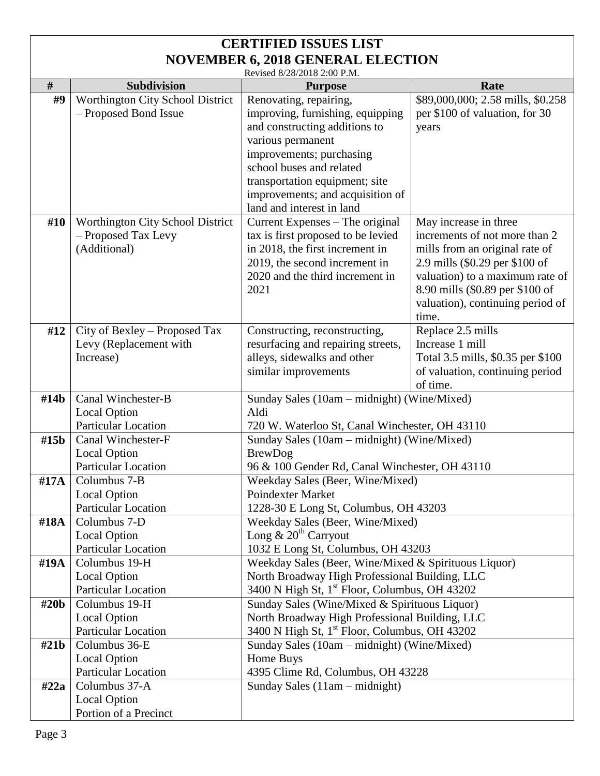| Revised 8/28/2018 2:00 P.M. |  |
|-----------------------------|--|

|                  |                                  | Revised 8/28/2018 2:00 P.M.                               |                                                |  |
|------------------|----------------------------------|-----------------------------------------------------------|------------------------------------------------|--|
| $\#$             | <b>Subdivision</b>               | <b>Purpose</b>                                            | Rate                                           |  |
| #9               | Worthington City School District | Renovating, repairing,                                    | \$89,000,000; 2.58 mills, \$0.258              |  |
|                  | - Proposed Bond Issue            | improving, furnishing, equipping                          | per \$100 of valuation, for 30                 |  |
|                  |                                  | and constructing additions to                             | years                                          |  |
|                  |                                  | various permanent                                         |                                                |  |
|                  |                                  | improvements; purchasing                                  |                                                |  |
|                  |                                  | school buses and related                                  |                                                |  |
|                  |                                  | transportation equipment; site                            |                                                |  |
|                  |                                  | improvements; and acquisition of                          |                                                |  |
|                  |                                  | land and interest in land                                 |                                                |  |
| #10              | Worthington City School District | Current Expenses – The original                           | May increase in three                          |  |
|                  | - Proposed Tax Levy              | tax is first proposed to be levied                        | increments of not more than 2                  |  |
|                  | (Additional)                     | in 2018, the first increment in                           | mills from an original rate of                 |  |
|                  |                                  | 2019, the second increment in                             | 2.9 mills (\$0.29 per \$100 of                 |  |
|                  |                                  | 2020 and the third increment in                           | valuation) to a maximum rate of                |  |
|                  |                                  | 2021                                                      | 8.90 mills (\$0.89 per \$100 of                |  |
|                  |                                  |                                                           | valuation), continuing period of               |  |
|                  |                                  |                                                           | time.                                          |  |
| #12              | City of Bexley - Proposed Tax    | Constructing, reconstructing,                             | Replace 2.5 mills                              |  |
|                  | Levy (Replacement with           | resurfacing and repairing streets,                        | Increase 1 mill                                |  |
|                  | Increase)                        | alleys, sidewalks and other                               | Total 3.5 mills, \$0.35 per \$100              |  |
|                  |                                  | similar improvements                                      | of valuation, continuing period                |  |
|                  |                                  |                                                           | of time.                                       |  |
|                  | Canal Winchester-B               |                                                           |                                                |  |
| #14b             |                                  | Sunday Sales (10am – midnight) (Wine/Mixed)<br>Aldi       |                                                |  |
|                  | <b>Local Option</b>              |                                                           | 720 W. Waterloo St, Canal Winchester, OH 43110 |  |
|                  | <b>Particular Location</b>       |                                                           |                                                |  |
| #15b             | Canal Winchester-F               | Sunday Sales (10am – midnight) (Wine/Mixed)               |                                                |  |
|                  | <b>Local Option</b>              | <b>BrewDog</b>                                            |                                                |  |
|                  | <b>Particular Location</b>       | 96 & 100 Gender Rd, Canal Winchester, OH 43110            |                                                |  |
| #17A             | Columbus 7-B                     | Weekday Sales (Beer, Wine/Mixed)                          |                                                |  |
|                  | <b>Local Option</b>              | <b>Poindexter Market</b>                                  |                                                |  |
|                  | Particular Location              | 1228-30 E Long St, Columbus, OH 43203                     |                                                |  |
| #18A             | Columbus 7-D                     | Weekday Sales (Beer, Wine/Mixed)                          |                                                |  |
|                  | <b>Local Option</b>              | Long $\& 20th$ Carryout                                   |                                                |  |
|                  | Particular Location              | 1032 E Long St, Columbus, OH 43203                        |                                                |  |
| #19A             | Columbus 19-H                    | Weekday Sales (Beer, Wine/Mixed & Spirituous Liquor)      |                                                |  |
|                  | <b>Local Option</b>              | North Broadway High Professional Building, LLC            |                                                |  |
|                  | Particular Location              | 3400 N High St, 1 <sup>st</sup> Floor, Columbus, OH 43202 |                                                |  |
| #20 <sub>b</sub> | Columbus 19-H                    | Sunday Sales (Wine/Mixed & Spirituous Liquor)             |                                                |  |
|                  | <b>Local Option</b>              | North Broadway High Professional Building, LLC            |                                                |  |
|                  | <b>Particular Location</b>       | 3400 N High St, 1 <sup>st</sup> Floor, Columbus, OH 43202 |                                                |  |
| #21b             | Columbus 36-E                    | Sunday Sales (10am - midnight) (Wine/Mixed)               |                                                |  |
|                  | <b>Local Option</b>              | Home Buys                                                 |                                                |  |
|                  | Particular Location              | 4395 Clime Rd, Columbus, OH 43228                         |                                                |  |
|                  | Columbus 37-A                    | Sunday Sales (11am - midnight)                            |                                                |  |
| #22a             |                                  |                                                           |                                                |  |
|                  | <b>Local Option</b>              |                                                           |                                                |  |
|                  | Portion of a Precinct            |                                                           |                                                |  |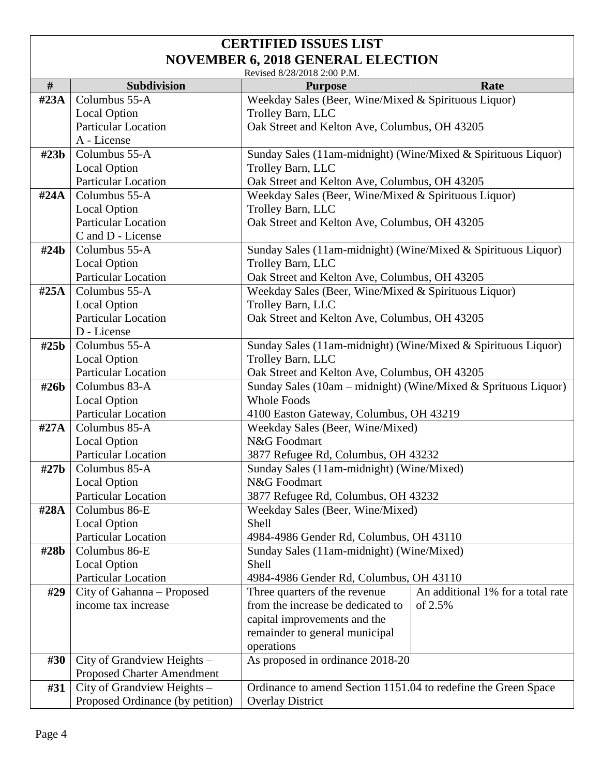|                  | Revised 8/28/2018 2:00 P.M.                                      |                                                                    |                                              |  |  |
|------------------|------------------------------------------------------------------|--------------------------------------------------------------------|----------------------------------------------|--|--|
| #                | <b>Subdivision</b>                                               | <b>Purpose</b>                                                     | Rate                                         |  |  |
| $\text{\#23A}$   | Columbus 55-A                                                    | Weekday Sales (Beer, Wine/Mixed & Spirituous Liquor)               |                                              |  |  |
|                  | <b>Local Option</b>                                              | Trolley Barn, LLC                                                  |                                              |  |  |
|                  | <b>Particular Location</b>                                       | Oak Street and Kelton Ave, Columbus, OH 43205                      |                                              |  |  |
|                  | A - License                                                      |                                                                    |                                              |  |  |
| #23b             | Columbus 55-A                                                    | Sunday Sales (11am-midnight) (Wine/Mixed & Spirituous Liquor)      |                                              |  |  |
|                  | <b>Local Option</b>                                              | Trolley Barn, LLC                                                  |                                              |  |  |
|                  | <b>Particular Location</b>                                       | Oak Street and Kelton Ave, Columbus, OH 43205                      |                                              |  |  |
| $\#24A$          | Columbus 55-A                                                    | Weekday Sales (Beer, Wine/Mixed & Spirituous Liquor)               |                                              |  |  |
|                  | <b>Local Option</b>                                              | Trolley Barn, LLC                                                  |                                              |  |  |
|                  | <b>Particular Location</b>                                       | Oak Street and Kelton Ave, Columbus, OH 43205                      |                                              |  |  |
|                  | C and D - License                                                |                                                                    |                                              |  |  |
| #24 <sub>b</sub> | Columbus 55-A                                                    | Sunday Sales (11am-midnight) (Wine/Mixed & Spirituous Liquor)      |                                              |  |  |
|                  | <b>Local Option</b>                                              | Trolley Barn, LLC                                                  |                                              |  |  |
|                  | <b>Particular Location</b>                                       | Oak Street and Kelton Ave, Columbus, OH 43205                      |                                              |  |  |
| #25A             | Columbus 55-A                                                    | Weekday Sales (Beer, Wine/Mixed & Spirituous Liquor)               |                                              |  |  |
|                  | <b>Local Option</b>                                              | Trolley Barn, LLC                                                  |                                              |  |  |
|                  | <b>Particular Location</b>                                       | Oak Street and Kelton Ave, Columbus, OH 43205                      |                                              |  |  |
|                  | D - License                                                      |                                                                    |                                              |  |  |
| #25 <sub>b</sub> | Columbus 55-A                                                    | Sunday Sales (11am-midnight) (Wine/Mixed & Spirituous Liquor)      |                                              |  |  |
|                  | <b>Local Option</b>                                              | Trolley Barn, LLC                                                  |                                              |  |  |
|                  | Particular Location                                              | Oak Street and Kelton Ave, Columbus, OH 43205                      |                                              |  |  |
| #26b             | Columbus 83-A                                                    | Sunday Sales (10am – midnight) (Wine/Mixed & Sprituous Liquor)     |                                              |  |  |
|                  | <b>Local Option</b>                                              | <b>Whole Foods</b>                                                 |                                              |  |  |
|                  | Particular Location                                              | 4100 Easton Gateway, Columbus, OH 43219                            |                                              |  |  |
| $\#27A$          | Columbus 85-A                                                    | Weekday Sales (Beer, Wine/Mixed)                                   |                                              |  |  |
|                  | <b>Local Option</b>                                              | N&G Foodmart                                                       |                                              |  |  |
|                  | Particular Location                                              | 3877 Refugee Rd, Columbus, OH 43232                                |                                              |  |  |
| #27 <sub>b</sub> | Columbus 85-A                                                    | Sunday Sales (11am-midnight) (Wine/Mixed)                          |                                              |  |  |
|                  | <b>Local Option</b>                                              | N&G Foodmart                                                       |                                              |  |  |
|                  | <b>Particular Location</b>                                       | 3877 Refugee Rd, Columbus, OH 43232                                |                                              |  |  |
| #28A             | Columbus 86-E                                                    | Weekday Sales (Beer, Wine/Mixed)                                   |                                              |  |  |
|                  | <b>Local Option</b>                                              | Shell                                                              |                                              |  |  |
|                  | <b>Particular Location</b>                                       | 4984-4986 Gender Rd, Columbus, OH 43110                            |                                              |  |  |
| #28b             | Columbus 86-E                                                    | Sunday Sales (11am-midnight) (Wine/Mixed)                          |                                              |  |  |
|                  | <b>Local Option</b>                                              | Shell                                                              |                                              |  |  |
|                  | <b>Particular Location</b>                                       | 4984-4986 Gender Rd, Columbus, OH 43110                            |                                              |  |  |
| #29              | City of Gahanna - Proposed                                       | Three quarters of the revenue<br>from the increase be dedicated to | An additional 1% for a total rate<br>of 2.5% |  |  |
|                  | income tax increase                                              |                                                                    |                                              |  |  |
|                  |                                                                  | capital improvements and the                                       |                                              |  |  |
|                  |                                                                  | remainder to general municipal                                     |                                              |  |  |
| #30              |                                                                  | operations                                                         |                                              |  |  |
|                  | City of Grandview Heights -<br><b>Proposed Charter Amendment</b> | As proposed in ordinance 2018-20                                   |                                              |  |  |
| #31              | City of Grandview Heights -                                      | Ordinance to amend Section 1151.04 to redefine the Green Space     |                                              |  |  |
|                  |                                                                  |                                                                    |                                              |  |  |
|                  | Proposed Ordinance (by petition)                                 | <b>Overlay District</b>                                            |                                              |  |  |